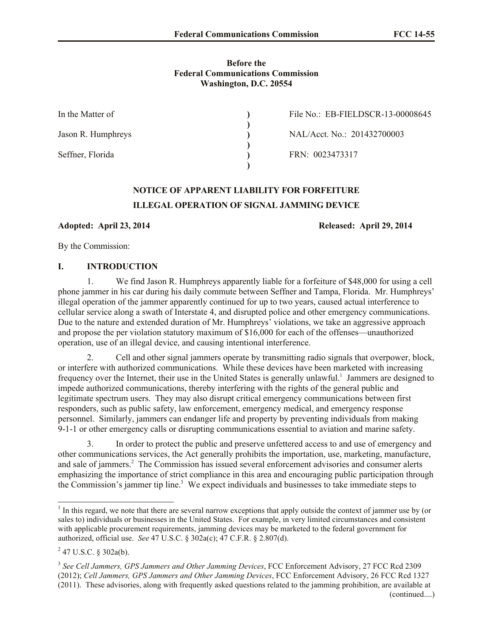#### **Before the Federal Communications Commission Washington, D.C. 20554**

| In the Matter of   | File No.: EB-FIELDSCR-13-00008645 |
|--------------------|-----------------------------------|
| Jason R. Humphreys | NAL/Acct. No.: 201432700003       |
| Seffner, Florida   | FRN: 0023473317                   |

# **NOTICE OF APPARENT LIABILITY FOR FORFEITURE ILLEGAL OPERATION OF SIGNAL JAMMING DEVICE**

**Adopted: April 23, 2014 Released: April 29, 2014**

By the Commission:

## **I. INTRODUCTION**

1. We find Jason R. Humphreys apparently liable for a forfeiture of \$48,000 for using a cell phone jammer in his car during his daily commute between Seffner and Tampa, Florida. Mr. Humphreys' illegal operation of the jammer apparently continued for up to two years, caused actual interference to cellular service along a swath of Interstate 4, and disrupted police and other emergency communications. Due to the nature and extended duration of Mr. Humphreys' violations, we take an aggressive approach and propose the per violation statutory maximum of \$16,000 for each of the offenses—unauthorized operation, use of an illegal device, and causing intentional interference.

2. Cell and other signal jammers operate by transmitting radio signals that overpower, block, or interfere with authorized communications. While these devices have been marketed with increasing frequency over the Internet, their use in the United States is generally unlawful.<sup>1</sup> Jammers are designed to impede authorized communications, thereby interfering with the rights of the general public and legitimate spectrum users. They may also disrupt critical emergency communications between first responders, such as public safety, law enforcement, emergency medical, and emergency response personnel. Similarly, jammers can endanger life and property by preventing individuals from making 9-1-1 or other emergency calls or disrupting communications essential to aviation and marine safety.

3. In order to protect the public and preserve unfettered access to and use of emergency and other communications services, the Act generally prohibits the importation, use, marketing, manufacture, and sale of jammers.<sup>2</sup> The Commission has issued several enforcement advisories and consumer alerts emphasizing the importance of strict compliance in this area and encouraging public participation through the Commission's jammer tip line.<sup>3</sup> We expect individuals and businesses to take immediate steps to

<sup>&</sup>lt;sup>1</sup> In this regard, we note that there are several narrow exceptions that apply outside the context of jammer use by (or sales to) individuals or businesses in the United States. For example, in very limited circumstances and consistent with applicable procurement requirements, jamming devices may be marketed to the federal government for authorized, official use. *See* 47 U.S.C. § 302a(c); 47 C.F.R. § 2.807(d).

 $^{2}$  47 U.S.C. § 302a(b).

<sup>3</sup> *See Cell Jammers, GPS Jammers and Other Jamming Devices*, FCC Enforcement Advisory, 27 FCC Rcd 2309 (2012); *Cell Jammers, GPS Jammers and Other Jamming Devices*, FCC Enforcement Advisory, 26 FCC Rcd 1327 (2011). These advisories, along with frequently asked questions related to the jamming prohibition, are available at (continued....)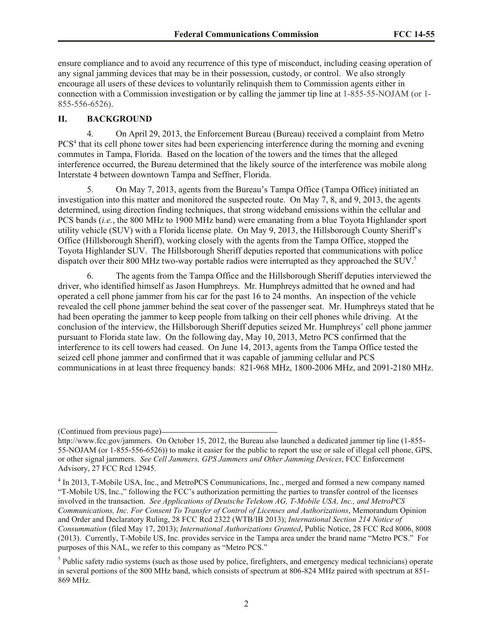ensure compliance and to avoid any recurrence of this type of misconduct, including ceasing operation of any signal jamming devices that may be in their possession, custody, or control. We also strongly encourage all users of these devices to voluntarily relinquish them to Commission agents either in connection with a Commission investigation or by calling the jammer tip line at 1-855-55-NOJAM (or 1- 855-556-6526).

#### **II. BACKGROUND**

4. On April 29, 2013, the Enforcement Bureau (Bureau) received a complaint from Metro PCS<sup>4</sup> that its cell phone tower sites had been experiencing interference during the morning and evening commutes in Tampa, Florida. Based on the location of the towers and the times that the alleged interference occurred, the Bureau determined that the likely source of the interference was mobile along Interstate 4 between downtown Tampa and Seffner, Florida.

5. On May 7, 2013, agents from the Bureau's Tampa Office (Tampa Office) initiated an investigation into this matter and monitored the suspected route. On May 7, 8, and 9, 2013, the agents determined, using direction finding techniques, that strong wideband emissions within the cellular and PCS bands (*i.e.*, the 800 MHz to 1900 MHz band) were emanating from a blue Toyota Highlander sport utility vehicle (SUV) with a Florida license plate. On May 9, 2013, the Hillsborough County Sheriff's Office (Hillsborough Sheriff), working closely with the agents from the Tampa Office, stopped the Toyota Highlander SUV. The Hillsborough Sheriff deputies reported that communications with police dispatch over their 800 MHz two-way portable radios were interrupted as they approached the SUV.<sup>5</sup>

6. The agents from the Tampa Office and the Hillsborough Sheriff deputies interviewed the driver, who identified himself as Jason Humphreys. Mr. Humphreys admitted that he owned and had operated a cell phone jammer from his car for the past 16 to 24 months. An inspection of the vehicle revealed the cell phone jammer behind the seat cover of the passenger seat. Mr. Humphreys stated that he had been operating the jammer to keep people from talking on their cell phones while driving. At the conclusion of the interview, the Hillsborough Sheriff deputies seized Mr. Humphreys' cell phone jammer pursuant to Florida state law. On the following day, May 10, 2013, Metro PCS confirmed that the interference to its cell towers had ceased. On June 14, 2013, agents from the Tampa Office tested the seized cell phone jammer and confirmed that it was capable of jamming cellular and PCS communications in at least three frequency bands: 821-968 MHz, 1800-2006 MHz, and 2091-2180 MHz.

(Continued from previous page)

http://www.fcc.gov/jammers. On October 15, 2012, the Bureau also launched a dedicated jammer tip line (1-855-55-NOJAM (or 1-855-556-6526)) to make it easier for the public to report the use or sale of illegal cell phone, GPS, or other signal jammers. *See Cell Jammers, GPS Jammers and Other Jamming Devices*, FCC Enforcement Advisory, 27 FCC Rcd 12945.

<sup>&</sup>lt;sup>4</sup> In 2013, T-Mobile USA, Inc., and MetroPCS Communications, Inc., merged and formed a new company named "T-Mobile US, Inc.," following the FCC's authorization permitting the parties to transfer control of the licenses involved in the transaction. *See Applications of Deutsche Telekom AG, T-Mobile USA, Inc., and MetroPCS Communications, Inc. For Consent To Transfer of Control of Licenses and Authorizations*, Memorandum Opinion and Order and Declaratory Ruling, 28 FCC Rcd 2322 (WTB/IB 2013); *International Section 214 Notice of Consummation* (filed May 17, 2013); *International Authorizations Granted*, Public Notice, 28 FCC Rcd 8006, 8008 (2013). Currently, T-Mobile US, Inc. provides service in the Tampa area under the brand name "Metro PCS." For purposes of this NAL, we refer to this company as "Metro PCS."

 $<sup>5</sup>$  Public safety radio systems (such as those used by police, firefighters, and emergency medical technicians) operate</sup> in several portions of the 800 MHz band, which consists of spectrum at 806-824 MHz paired with spectrum at 851- 869 MHz.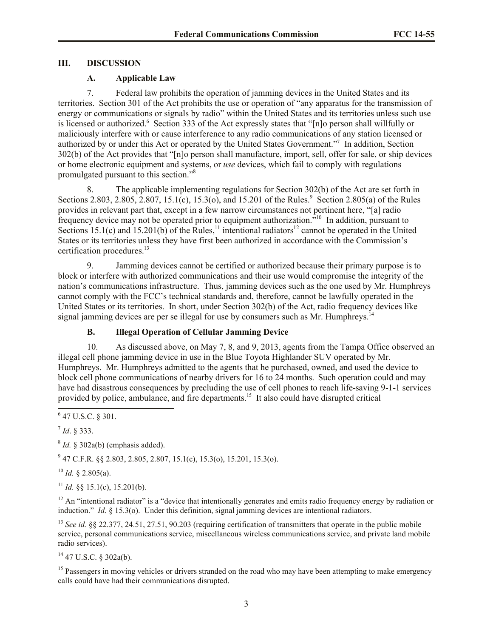## **III. DISCUSSION**

# **A. Applicable Law**

7. Federal law prohibits the operation of jamming devices in the United States and its territories. Section 301 of the Act prohibits the use or operation of "any apparatus for the transmission of energy or communications or signals by radio" within the United States and its territories unless such use is licensed or authorized.<sup>6</sup> Section 333 of the Act expressly states that "[n]o person shall willfully or maliciously interfere with or cause interference to any radio communications of any station licensed or authorized by or under this Act or operated by the United States Government."<sup>7</sup> In addition, Section 302(b) of the Act provides that "[n]o person shall manufacture, import, sell, offer for sale, or ship devices or home electronic equipment and systems, or *use* devices, which fail to comply with regulations promulgated pursuant to this section."<sup>8</sup>

8. The applicable implementing regulations for Section 302(b) of the Act are set forth in Sections 2.803, 2.805,  $2.807$ , 15.1(c), 15.3(o), and 15.201 of the Rules.<sup>9</sup> Section 2.805(a) of the Rules provides in relevant part that, except in a few narrow circumstances not pertinent here, "[a] radio frequency device may not be operated prior to equipment authorization.<sup>510</sup> In addition, pursuant to Sections 15.1(c) and 15.201(b) of the Rules,<sup>11</sup> intentional radiators<sup>12</sup> cannot be operated in the United States or its territories unless they have first been authorized in accordance with the Commission's certification procedures.<sup>13</sup>

9. Jamming devices cannot be certified or authorized because their primary purpose is to block or interfere with authorized communications and their use would compromise the integrity of the nation's communications infrastructure. Thus, jamming devices such as the one used by Mr. Humphreys cannot comply with the FCC's technical standards and, therefore, cannot be lawfully operated in the United States or its territories. In short, under Section 302(b) of the Act, radio frequency devices like signal jamming devices are per se illegal for use by consumers such as Mr. Humphreys.<sup>14</sup>

# **B. Illegal Operation of Cellular Jamming Device**

10. As discussed above, on May 7, 8, and 9, 2013, agents from the Tampa Office observed an illegal cell phone jamming device in use in the Blue Toyota Highlander SUV operated by Mr. Humphreys. Mr. Humphreys admitted to the agents that he purchased, owned, and used the device to block cell phone communications of nearby drivers for 16 to 24 months. Such operation could and may have had disastrous consequences by precluding the use of cell phones to reach life-saving 9-1-1 services provided by police, ambulance, and fire departments.<sup>15</sup> It also could have disrupted critical

7 *Id*. § 333.

 $^{8}$  *Id.* § 302a(b) (emphasis added).

 $9^9$  47 C.F.R. §§ 2.803, 2.805, 2.807, 15.1(c), 15.3(o), 15.201, 15.3(o).

 $^{10}$  *Id.* § 2.805(a).

 $11$  *Id.* §§ 15.1(c), 15.201(b).

 $12$  An "intentional radiator" is a "device that intentionally generates and emits radio frequency energy by radiation or induction." *Id*. § 15.3(o). Under this definition, signal jamming devices are intentional radiators.

<sup>13</sup> *See id.* §§ 22.377, 24.51, 27.51, 90.203 (requiring certification of transmitters that operate in the public mobile service, personal communications service, miscellaneous wireless communications service, and private land mobile radio services).

 $14$  47 U.S.C. § 302a(b).

<sup>15</sup> Passengers in moving vehicles or drivers stranded on the road who may have been attempting to make emergency calls could have had their communications disrupted.

l  $6$  47 U.S.C. § 301.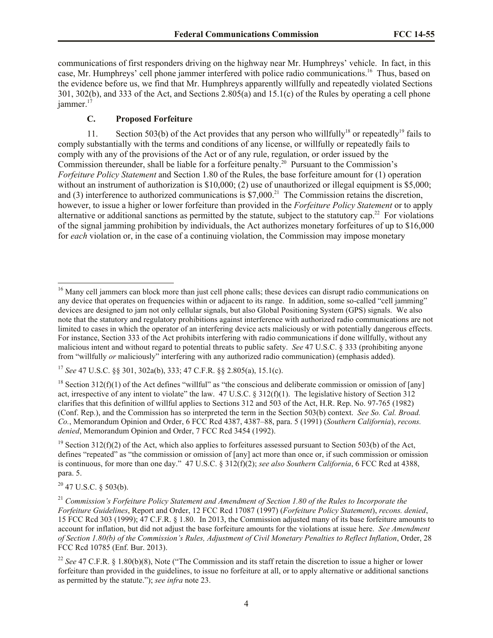communications of first responders driving on the highway near Mr. Humphreys' vehicle. In fact, in this case, Mr. Humphreys' cell phone jammer interfered with police radio communications. 16 Thus, based on the evidence before us, we find that Mr. Humphreys apparently willfully and repeatedly violated Sections 301, 302(b), and 333 of the Act, and Sections 2.805(a) and 15.1(c) of the Rules by operating a cell phone jammer.<sup>17</sup>

## **C. Proposed Forfeiture**

11. Section 503(b) of the Act provides that any person who willfully<sup>18</sup> or repeatedly<sup>19</sup> fails to comply substantially with the terms and conditions of any license, or willfully or repeatedly fails to comply with any of the provisions of the Act or of any rule, regulation, or order issued by the Commission thereunder, shall be liable for a forfeiture penalty.<sup>20</sup> Pursuant to the Commission's *Forfeiture Policy Statement* and Section 1.80 of the Rules, the base forfeiture amount for (1) operation without an instrument of authorization is \$10,000; (2) use of unauthorized or illegal equipment is \$5,000; and (3) interference to authorized communications is  $$7,000$ .<sup>21</sup> The Commission retains the discretion, however, to issue a higher or lower forfeiture than provided in the *Forfeiture Policy Statement* or to apply alternative or additional sanctions as permitted by the statute, subject to the statutory cap.<sup>22</sup> For violations of the signal jamming prohibition by individuals, the Act authorizes monetary forfeitures of up to \$16,000 for *each* violation or, in the case of a continuing violation, the Commission may impose monetary

<sup>17</sup> *See* 47 U.S.C. §§ 301, 302a(b), 333; 47 C.F.R. §§ 2.805(a), 15.1(c).

<sup>18</sup> Section 312(f)(1) of the Act defines "willful" as "the conscious and deliberate commission or omission of [any] act, irrespective of any intent to violate" the law. 47 U.S.C. § 312(f)(1). The legislative history of Section 312 clarifies that this definition of willful applies to Sections 312 and 503 of the Act, H.R. Rep. No. 97-765 (1982) (Conf. Rep.), and the Commission has so interpreted the term in the Section 503(b) context. *See So. Cal. Broad. Co.*, Memorandum Opinion and Order, 6 FCC Rcd 4387, 4387–88, para. 5 (1991) (*Southern California*), *recons. denied*, Memorandum Opinion and Order, 7 FCC Rcd 3454 (1992).

<sup>19</sup> Section 312(f)(2) of the Act, which also applies to forfeitures assessed pursuant to Section 503(b) of the Act, defines "repeated" as "the commission or omission of [any] act more than once or, if such commission or omission is continuous, for more than one day." 47 U.S.C. § 312(f)(2); *see also Southern California*, 6 FCC Rcd at 4388, para. 5.

<sup>20</sup> 47 U.S.C. § 503(b).

l

<sup>&</sup>lt;sup>16</sup> Many cell jammers can block more than just cell phone calls; these devices can disrupt radio communications on any device that operates on frequencies within or adjacent to its range. In addition, some so-called "cell jamming" devices are designed to jam not only cellular signals, but also Global Positioning System (GPS) signals. We also note that the statutory and regulatory prohibitions against interference with authorized radio communications are not limited to cases in which the operator of an interfering device acts maliciously or with potentially dangerous effects. For instance, Section 333 of the Act prohibits interfering with radio communications if done willfully, without any malicious intent and without regard to potential threats to public safety. *See* 47 U.S.C. § 333 (prohibiting anyone from "willfully *or* maliciously" interfering with any authorized radio communication) (emphasis added).

<sup>21</sup> *Commission's Forfeiture Policy Statement and Amendment of Section 1.80 of the Rules to Incorporate the Forfeiture Guidelines*, Report and Order, 12 FCC Rcd 17087 (1997) (*Forfeiture Policy Statement*), *recons. denied*, 15 FCC Rcd 303 (1999); 47 C.F.R. § 1.80. In 2013, the Commission adjusted many of its base forfeiture amounts to account for inflation, but did not adjust the base forfeiture amounts for the violations at issue here. *See Amendment of Section 1.80(b) of the Commission's Rules, Adjustment of Civil Monetary Penalties to Reflect Inflation*, Order, 28 FCC Rcd 10785 (Enf. Bur. 2013).

<sup>&</sup>lt;sup>22</sup> See 47 C.F.R. § 1.80(b)(8). Note ("The Commission and its staff retain the discretion to issue a higher or lower forfeiture than provided in the guidelines, to issue no forfeiture at all, or to apply alternative or additional sanctions as permitted by the statute."); *see infra* note 23.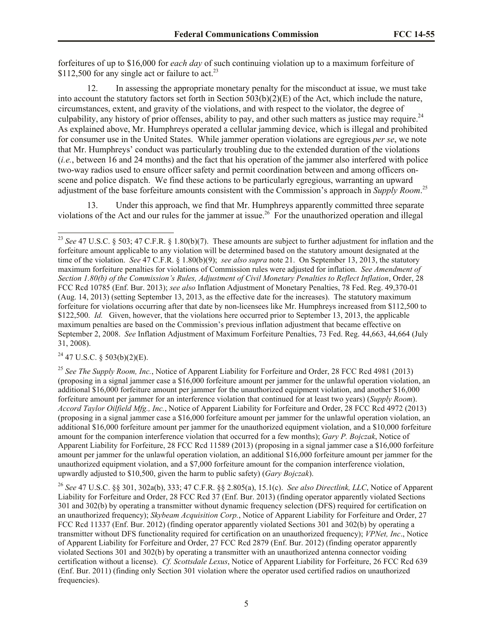forfeitures of up to \$16,000 for *each day* of such continuing violation up to a maximum forfeiture of \$112,500 for any single act or failure to act.<sup>23</sup>

12. In assessing the appropriate monetary penalty for the misconduct at issue, we must take into account the statutory factors set forth in Section  $503(b)(2)(E)$  of the Act, which include the nature, circumstances, extent, and gravity of the violations, and with respect to the violator, the degree of culpability, any history of prior offenses, ability to pay, and other such matters as justice may require.<sup>24</sup> As explained above, Mr. Humphreys operated a cellular jamming device, which is illegal and prohibited for consumer use in the United States. While jammer operation violations are egregious *per se*, we note that Mr. Humphreys' conduct was particularly troubling due to the extended duration of the violations (*i.e.*, between 16 and 24 months) and the fact that his operation of the jammer also interfered with police two-way radios used to ensure officer safety and permit coordination between and among officers onscene and police dispatch. We find these actions to be particularly egregious, warranting an upward adjustment of the base forfeiture amounts consistent with the Commission's approach in *Supply Room*. 25

13. Under this approach, we find that Mr. Humphreys apparently committed three separate violations of the Act and our rules for the jammer at issue.<sup>26</sup> For the unauthorized operation and illegal

 $^{24}$  47 U.S.C. § 503(b)(2)(E).

 $\overline{\phantom{a}}$ 

<sup>&</sup>lt;sup>23</sup> *See* 47 U.S.C. § 503; 47 C.F.R. § 1.80(b)(7). These amounts are subject to further adjustment for inflation and the forfeiture amount applicable to any violation will be determined based on the statutory amount designated at the time of the violation. *See* 47 C.F.R. § 1.80(b)(9); *see also supra* note 21. On September 13, 2013, the statutory maximum forfeiture penalties for violations of Commission rules were adjusted for inflation. *See Amendment of Section 1.80(b) of the Commission's Rules, Adjustment of Civil Monetary Penalties to Reflect Inflation*, Order, 28 FCC Rcd 10785 (Enf. Bur. 2013); *see also* Inflation Adjustment of Monetary Penalties, 78 Fed. Reg. 49,370-01 (Aug. 14, 2013) (setting September 13, 2013, as the effective date for the increases). The statutory maximum forfeiture for violations occurring after that date by non-licensees like Mr. Humphreys increased from \$112,500 to \$122,500. *Id.* Given, however, that the violations here occurred prior to September 13, 2013, the applicable maximum penalties are based on the Commission's previous inflation adjustment that became effective on September 2, 2008. *See* Inflation Adjustment of Maximum Forfeiture Penalties, 73 Fed. Reg. 44,663, 44,664 (July 31, 2008).

<sup>25</sup> *See The Supply Room, Inc.*, Notice of Apparent Liability for Forfeiture and Order, 28 FCC Rcd 4981 (2013) (proposing in a signal jammer case a \$16,000 forfeiture amount per jammer for the unlawful operation violation, an additional \$16,000 forfeiture amount per jammer for the unauthorized equipment violation, and another \$16,000 forfeiture amount per jammer for an interference violation that continued for at least two years) (*Supply Room*). *Accord Taylor Oilfield Mfg., Inc.*, Notice of Apparent Liability for Forfeiture and Order, 28 FCC Rcd 4972 (2013) (proposing in a signal jammer case a \$16,000 forfeiture amount per jammer for the unlawful operation violation, an additional \$16,000 forfeiture amount per jammer for the unauthorized equipment violation, and a \$10,000 forfeiture amount for the companion interference violation that occurred for a few months); *Gary P. Bojczak*, Notice of Apparent Liability for Forfeiture, 28 FCC Rcd 11589 (2013) (proposing in a signal jammer case a \$16,000 forfeiture amount per jammer for the unlawful operation violation, an additional \$16,000 forfeiture amount per jammer for the unauthorized equipment violation, and a \$7,000 forfeiture amount for the companion interference violation, upwardly adjusted to \$10,500, given the harm to public safety) (*Gary Bojczak*).

<sup>26</sup> *See* 47 U.S.C. §§ 301, 302a(b), 333; 47 C.F.R. §§ 2.805(a), 15.1(c). *See also Directlink, LLC*, Notice of Apparent Liability for Forfeiture and Order, 28 FCC Rcd 37 (Enf. Bur. 2013) (finding operator apparently violated Sections 301 and 302(b) by operating a transmitter without dynamic frequency selection (DFS) required for certification on an unauthorized frequency); *Skybeam Acquisition Corp.*, Notice of Apparent Liability for Forfeiture and Order, 27 FCC Rcd 11337 (Enf. Bur. 2012) (finding operator apparently violated Sections 301 and 302(b) by operating a transmitter without DFS functionality required for certification on an unauthorized frequency); *VPNet, Inc*., Notice of Apparent Liability for Forfeiture and Order, 27 FCC Rcd 2879 (Enf. Bur. 2012) (finding operator apparently violated Sections 301 and 302(b) by operating a transmitter with an unauthorized antenna connector voiding certification without a license). *Cf. Scottsdale Lexus*, Notice of Apparent Liability for Forfeiture, 26 FCC Rcd 639 (Enf. Bur. 2011) (finding only Section 301 violation where the operator used certified radios on unauthorized frequencies).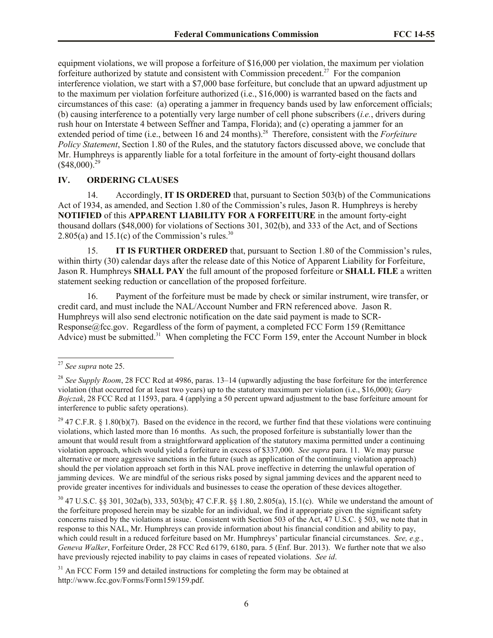equipment violations, we will propose a forfeiture of \$16,000 per violation, the maximum per violation forfeiture authorized by statute and consistent with Commission precedent.<sup>27</sup> For the companion interference violation, we start with a \$7,000 base forfeiture, but conclude that an upward adjustment up to the maximum per violation forfeiture authorized (i.e., \$16,000) is warranted based on the facts and circumstances of this case: (a) operating a jammer in frequency bands used by law enforcement officials; (b) causing interference to a potentially very large number of cell phone subscribers (*i.e.*, drivers during rush hour on Interstate 4 between Seffner and Tampa, Florida); and (c) operating a jammer for an extended period of time (i.e., between 16 and 24 months).<sup>28</sup> Therefore, consistent with the *Forfeiture Policy Statement*, Section 1.80 of the Rules, and the statutory factors discussed above, we conclude that Mr. Humphreys is apparently liable for a total forfeiture in the amount of forty-eight thousand dollars  $(*48,000)^{29}$ 

#### **IV. ORDERING CLAUSES**

14. Accordingly, **IT IS ORDERED** that, pursuant to Section 503(b) of the Communications Act of 1934, as amended, and Section 1.80 of the Commission's rules, Jason R. Humphreys is hereby **NOTIFIED** of this **APPARENT LIABILITY FOR A FORFEITURE** in the amount forty-eight thousand dollars (\$48,000) for violations of Sections 301, 302(b), and 333 of the Act, and of Sections 2.805(a) and 15.1(c) of the Commission's rules.<sup>30</sup>

15. **IT IS FURTHER ORDERED** that, pursuant to Section 1.80 of the Commission's rules, within thirty (30) calendar days after the release date of this Notice of Apparent Liability for Forfeiture, Jason R. Humphreys **SHALL PAY** the full amount of the proposed forfeiture or **SHALL FILE** a written statement seeking reduction or cancellation of the proposed forfeiture.

16. Payment of the forfeiture must be made by check or similar instrument, wire transfer, or credit card, and must include the NAL/Account Number and FRN referenced above. Jason R. Humphreys will also send electronic notification on the date said payment is made to SCR-Response@fcc.gov. Regardless of the form of payment, a completed FCC Form 159 (Remittance Advice) must be submitted.<sup>31</sup> When completing the FCC Form 159, enter the Account Number in block

 $\overline{a}$ 

<sup>29</sup> 47 C.F.R. § 1.80(b)(7). Based on the evidence in the record, we further find that these violations were continuing violations, which lasted more than 16 months. As such, the proposed forfeiture is substantially lower than the amount that would result from a straightforward application of the statutory maxima permitted under a continuing violation approach, which would yield a forfeiture in excess of \$337,000. *See supra* para. 11. We may pursue alternative or more aggressive sanctions in the future (such as application of the continuing violation approach) should the per violation approach set forth in this NAL prove ineffective in deterring the unlawful operation of jamming devices. We are mindful of the serious risks posed by signal jamming devices and the apparent need to provide greater incentives for individuals and businesses to cease the operation of these devices altogether.

<sup>30</sup> 47 U.S.C. §§ 301, 302a(b), 333, 503(b); 47 C.F.R. §§ 1.80, 2.805(a), 15.1(c). While we understand the amount of the forfeiture proposed herein may be sizable for an individual, we find it appropriate given the significant safety concerns raised by the violations at issue. Consistent with Section 503 of the Act, 47 U.S.C. § 503, we note that in response to this NAL, Mr. Humphreys can provide information about his financial condition and ability to pay, which could result in a reduced forfeiture based on Mr. Humphreys' particular financial circumstances. *See, e.g.*, *Geneva Walker*, Forfeiture Order, 28 FCC Rcd 6179, 6180, para. 5 (Enf. Bur. 2013). We further note that we also have previously rejected inability to pay claims in cases of repeated violations. *See id*.

<sup>31</sup> An FCC Form 159 and detailed instructions for completing the form may be obtained at http://www.fcc.gov/Forms/Form159/159.pdf.

<sup>27</sup> *See supra* note 25.

<sup>&</sup>lt;sup>28</sup> See Supply Room, 28 FCC Rcd at 4986, paras. 13–14 (upwardly adjusting the base forfeiture for the interference violation (that occurred for at least two years) up to the statutory maximum per violation (i.e., \$16,000); *Gary Bojczak*, 28 FCC Rcd at 11593, para. 4 (applying a 50 percent upward adjustment to the base forfeiture amount for interference to public safety operations).